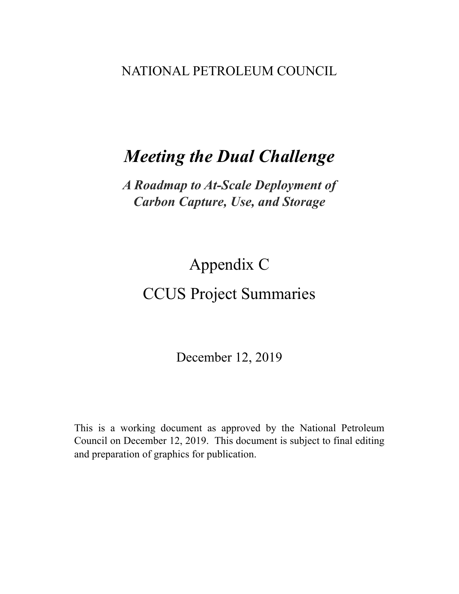### NATIONAL PETROLEUM COUNCIL

## *Meeting the Dual Challenge*

## *A Roadmap to At-Scale Deployment of Carbon Capture, Use, and Storage*

# Appendix C CCUS Project Summaries

December 12, 2019

This is a working document as approved by the National Petroleum Council on December 12, 2019. This document is subject to final editing and preparation of graphics for publication.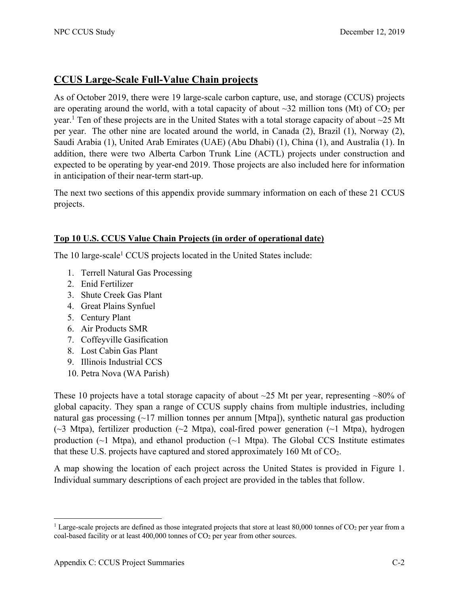### **CCUS Large-Scale Full-Value Chain projects**

As of October 2019, there were 19 large-scale carbon capture, use, and storage (CCUS) projects are operating around the world, with a total capacity of about  $\sim$ 32 million tons (Mt) of CO<sub>2</sub> per year.<sup>1</sup> Ten of these projects are in the United States with a total storage capacity of about ~25 Mt per year. The other nine are located around the world, in Canada (2), Brazil (1), Norway (2), Saudi Arabia (1), United Arab Emirates (UAE) (Abu Dhabi) (1), China (1), and Australia (1). In addition, there were two Alberta Carbon Trunk Line (ACTL) projects under construction and expected to be operating by year-end 2019. Those projects are also included here for information in anticipation of their near-term start-up.

The next two sections of this appendix provide summary information on each of these 21 CCUS projects.

### **Top 10 U.S. CCUS Value Chain Projects (in order of operational date)**

The 10 large-scale<sup>1</sup> CCUS projects located in the United States include:

- 1. Terrell Natural Gas Processing
- 2. Enid Fertilizer
- 3. Shute Creek Gas Plant
- 4. Great Plains Synfuel
- 5. Century Plant
- 6. Air Products SMR
- 7. Coffeyville Gasification
- 8. Lost Cabin Gas Plant
- 9. Illinois Industrial CCS
- 10. Petra Nova (WA Parish)

These 10 projects have a total storage capacity of about  $\sim$ 25 Mt per year, representing  $\sim$ 80% of global capacity. They span a range of CCUS supply chains from multiple industries, including natural gas processing  $(\sim]17$  million tonnes per annum [Mtpa]), synthetic natural gas production  $(\sim$ 3 Mtpa), fertilizer production ( $\sim$ 2 Mtpa), coal-fired power generation ( $\sim$ 1 Mtpa), hydrogen production  $(\sim 1$  Mtpa), and ethanol production  $(\sim 1$  Mtpa). The Global CCS Institute estimates that these U.S. projects have captured and stored approximately 160 Mt of  $CO<sub>2</sub>$ .

A map showing the location of each project across the United States is provided in Figure 1. Individual summary descriptions of each project are provided in the tables that follow.

<sup>&</sup>lt;sup>1</sup> Large-scale projects are defined as those integrated projects that store at least 80,000 tonnes of  $CO<sub>2</sub>$  per year from a coal-based facility or at least 400,000 tonnes of CO<sub>2</sub> per year from other sources.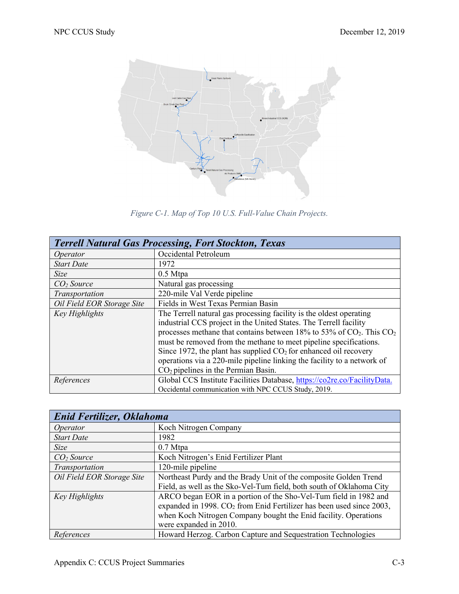

*Figure C-1. Map of Top 10 U.S. Full-Value Chain Projects.* 

|                            | <b>Terrell Natural Gas Processing, Fort Stockton, Texas</b>                                                                                                                                                                                                                                                                                                                                                                                                                         |
|----------------------------|-------------------------------------------------------------------------------------------------------------------------------------------------------------------------------------------------------------------------------------------------------------------------------------------------------------------------------------------------------------------------------------------------------------------------------------------------------------------------------------|
| Operator                   | Occidental Petroleum                                                                                                                                                                                                                                                                                                                                                                                                                                                                |
| <b>Start Date</b>          | 1972                                                                                                                                                                                                                                                                                                                                                                                                                                                                                |
| <b>Size</b>                | $0.5$ Mtpa                                                                                                                                                                                                                                                                                                                                                                                                                                                                          |
| CO <sub>2</sub> Source     | Natural gas processing                                                                                                                                                                                                                                                                                                                                                                                                                                                              |
| Transportation             | 220-mile Val Verde pipeline                                                                                                                                                                                                                                                                                                                                                                                                                                                         |
| Oil Field EOR Storage Site | Fields in West Texas Permian Basin                                                                                                                                                                                                                                                                                                                                                                                                                                                  |
| Key Highlights             | The Terrell natural gas processing facility is the oldest operating<br>industrial CCS project in the United States. The Terrell facility<br>processes methane that contains between 18% to 53% of $CO2$ . This $CO2$<br>must be removed from the methane to meet pipeline specifications.<br>Since 1972, the plant has supplied $CO2$ for enhanced oil recovery<br>operations via a 220-mile pipeline linking the facility to a network of<br>$CO2$ pipelines in the Permian Basin. |
| References                 | Global CCS Institute Facilities Database, https://co2re.co/FacilityData.<br>Occidental communication with NPC CCUS Study, 2019.                                                                                                                                                                                                                                                                                                                                                     |

| Enid Fertilizer, Oklahoma  |                                                                                  |
|----------------------------|----------------------------------------------------------------------------------|
| Operator                   | Koch Nitrogen Company                                                            |
| <b>Start Date</b>          | 1982                                                                             |
| <b>Size</b>                | $0.7$ Mtpa                                                                       |
| CO <sub>2</sub> Source     | Koch Nitrogen's Enid Fertilizer Plant                                            |
| Transportation             | 120-mile pipeline                                                                |
| Oil Field EOR Storage Site | Northeast Purdy and the Brady Unit of the composite Golden Trend                 |
|                            | Field, as well as the Sko-Vel-Tum field, both south of Oklahoma City             |
| Key Highlights             | ARCO began EOR in a portion of the Sho-Vel-Tum field in 1982 and                 |
|                            | expanded in 1998. CO <sub>2</sub> from Enid Fertilizer has been used since 2003, |
|                            | when Koch Nitrogen Company bought the Enid facility. Operations                  |
|                            | were expanded in 2010.                                                           |
| References                 | Howard Herzog. Carbon Capture and Sequestration Technologies                     |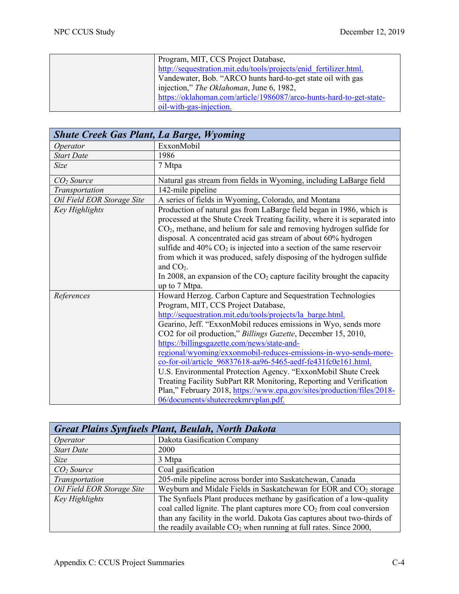| Program, MIT, CCS Project Database,                                 |
|---------------------------------------------------------------------|
| http://sequestration.mit.edu/tools/projects/enid fertilizer.html.   |
| Vandewater, Bob. "ARCO hunts hard-to-get state oil with gas         |
| injection," The Oklahoman, June 6, 1982,                            |
| https://oklahoman.com/article/1986087/arco-hunts-hard-to-get-state- |
| oil-with-gas-injection.                                             |

| <b>Shute Creek Gas Plant, La Barge, Wyoming</b> |                                                                                                                                                                                                                                                                                                                                                                                                                                                                                                                                                                                                                                                                                                                                                    |
|-------------------------------------------------|----------------------------------------------------------------------------------------------------------------------------------------------------------------------------------------------------------------------------------------------------------------------------------------------------------------------------------------------------------------------------------------------------------------------------------------------------------------------------------------------------------------------------------------------------------------------------------------------------------------------------------------------------------------------------------------------------------------------------------------------------|
| Operator                                        | ExxonMobil                                                                                                                                                                                                                                                                                                                                                                                                                                                                                                                                                                                                                                                                                                                                         |
| <b>Start Date</b>                               | 1986                                                                                                                                                                                                                                                                                                                                                                                                                                                                                                                                                                                                                                                                                                                                               |
| <b>Size</b>                                     | 7 Mtpa                                                                                                                                                                                                                                                                                                                                                                                                                                                                                                                                                                                                                                                                                                                                             |
| CO <sub>2</sub> Source                          | Natural gas stream from fields in Wyoming, including LaBarge field                                                                                                                                                                                                                                                                                                                                                                                                                                                                                                                                                                                                                                                                                 |
| Transportation                                  | 142-mile pipeline                                                                                                                                                                                                                                                                                                                                                                                                                                                                                                                                                                                                                                                                                                                                  |
| Oil Field EOR Storage Site                      | A series of fields in Wyoming, Colorado, and Montana                                                                                                                                                                                                                                                                                                                                                                                                                                                                                                                                                                                                                                                                                               |
| Key Highlights                                  | Production of natural gas from LaBarge field began in 1986, which is<br>processed at the Shute Creek Treating facility, where it is separated into<br>$CO2$ , methane, and helium for sale and removing hydrogen sulfide for<br>disposal. A concentrated acid gas stream of about 60% hydrogen<br>sulfide and $40\%$ CO <sub>2</sub> is injected into a section of the same reservoir<br>from which it was produced, safely disposing of the hydrogen sulfide<br>and $CO2$ .<br>In 2008, an expansion of the $CO2$ capture facility brought the capacity<br>up to 7 Mtpa.                                                                                                                                                                          |
| References                                      | Howard Herzog. Carbon Capture and Sequestration Technologies<br>Program, MIT, CCS Project Database,<br>http://sequestration.mit.edu/tools/projects/la_barge.html.<br>Gearino, Jeff. "ExxonMobil reduces emissions in Wyo, sends more<br>CO2 for oil production," Billings Gazette, December 15, 2010,<br>https://billingsgazette.com/news/state-and-<br>regional/wyoming/exxonmobil-reduces-emissions-in-wyo-sends-more-<br>co-for-oil/article 96837618-aa96-5465-aedf-fe431fc0e161.html.<br>U.S. Environmental Protection Agency. "ExxonMobil Shute Creek<br>Treating Facility SubPart RR Monitoring, Reporting and Verification<br>Plan," February 2018, https://www.epa.gov/sites/production/files/2018-<br>06/documents/shutecreekmrvplan.pdf. |

| <b>Great Plains Synfuels Plant, Beulah, North Dakota</b> |                                                                               |
|----------------------------------------------------------|-------------------------------------------------------------------------------|
| Operator                                                 | Dakota Gasification Company                                                   |
| <b>Start Date</b>                                        | 2000                                                                          |
| Size                                                     | 3 Mtpa                                                                        |
| CO <sub>2</sub> Source                                   | Coal gasification                                                             |
| Transportation                                           | 205-mile pipeline across border into Saskatchewan, Canada                     |
| Oil Field EOR Storage Site                               | Weyburn and Midale Fields in Saskatchewan for EOR and CO <sub>2</sub> storage |
| Key Highlights                                           | The Synfuels Plant produces methane by gasification of a low-quality          |
|                                                          | coal called lignite. The plant captures more $CO2$ from coal conversion       |
|                                                          | than any facility in the world. Dakota Gas captures about two-thirds of       |
|                                                          | the readily available $CO2$ when running at full rates. Since 2000,           |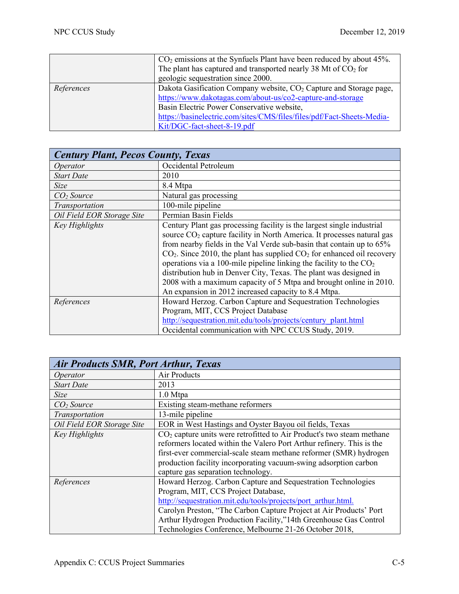|            | $CO2$ emissions at the Synfuels Plant have been reduced by about 45%.<br>The plant has captured and transported nearly 38 Mt of $CO2$ for |
|------------|-------------------------------------------------------------------------------------------------------------------------------------------|
|            | geologic sequestration since 2000.                                                                                                        |
| References | Dakota Gasification Company website, CO <sub>2</sub> Capture and Storage page,                                                            |
|            | https://www.dakotagas.com/about-us/co2-capture-and-storage                                                                                |
|            | Basin Electric Power Conservative website,                                                                                                |
|            | https://basinelectric.com/sites/CMS/files/files/pdf/Fact-Sheets-Media-                                                                    |
|            | Kit/DGC-fact-sheet-8-19.pdf                                                                                                               |

| <b>Century Plant, Pecos County, Texas</b> |                                                                                                                                                                                                                                                                                                                                                                                                                                                                                                                                                                                               |
|-------------------------------------------|-----------------------------------------------------------------------------------------------------------------------------------------------------------------------------------------------------------------------------------------------------------------------------------------------------------------------------------------------------------------------------------------------------------------------------------------------------------------------------------------------------------------------------------------------------------------------------------------------|
| Operator                                  | Occidental Petroleum                                                                                                                                                                                                                                                                                                                                                                                                                                                                                                                                                                          |
| <b>Start Date</b>                         | 2010                                                                                                                                                                                                                                                                                                                                                                                                                                                                                                                                                                                          |
| Size                                      | 8.4 Mtpa                                                                                                                                                                                                                                                                                                                                                                                                                                                                                                                                                                                      |
| CO <sub>2</sub> Source                    | Natural gas processing                                                                                                                                                                                                                                                                                                                                                                                                                                                                                                                                                                        |
| Transportation                            | 100-mile pipeline                                                                                                                                                                                                                                                                                                                                                                                                                                                                                                                                                                             |
| Oil Field EOR Storage Site                | Permian Basin Fields                                                                                                                                                                                                                                                                                                                                                                                                                                                                                                                                                                          |
| Key Highlights                            | Century Plant gas processing facility is the largest single industrial<br>source CO <sub>2</sub> capture facility in North America. It processes natural gas<br>from nearby fields in the Val Verde sub-basin that contain up to 65%<br>$CO2$ . Since 2010, the plant has supplied $CO2$ for enhanced oil recovery<br>operations via a 100-mile pipeline linking the facility to the $CO2$<br>distribution hub in Denver City, Texas. The plant was designed in<br>2008 with a maximum capacity of 5 Mtpa and brought online in 2010.<br>An expansion in 2012 increased capacity to 8.4 Mtpa. |
| References                                | Howard Herzog. Carbon Capture and Sequestration Technologies<br>Program, MIT, CCS Project Database<br>http://sequestration.mit.edu/tools/projects/century_plant.html<br>Occidental communication with NPC CCUS Study, 2019.                                                                                                                                                                                                                                                                                                                                                                   |

| <b>Air Products SMR, Port Arthur, Texas</b> |                                                                         |
|---------------------------------------------|-------------------------------------------------------------------------|
| Operator                                    | Air Products                                                            |
| <b>Start Date</b>                           | 2013                                                                    |
| Size                                        | $1.0$ Mtpa                                                              |
| CO <sub>2</sub> Source                      | Existing steam-methane reformers                                        |
| Transportation                              | 13-mile pipeline                                                        |
| Oil Field EOR Storage Site                  | EOR in West Hastings and Oyster Bayou oil fields, Texas                 |
| Key Highlights                              | $CO2$ capture units were retrofitted to Air Product's two steam methane |
|                                             | reformers located within the Valero Port Arthur refinery. This is the   |
|                                             | first-ever commercial-scale steam methane reformer (SMR) hydrogen       |
|                                             | production facility incorporating vacuum-swing adsorption carbon        |
|                                             | capture gas separation technology.                                      |
| References                                  | Howard Herzog. Carbon Capture and Sequestration Technologies            |
|                                             | Program, MIT, CCS Project Database,                                     |
|                                             | http://sequestration.mit.edu/tools/projects/port_arthur.html.           |
|                                             | Carolyn Preston, "The Carbon Capture Project at Air Products' Port      |
|                                             | Arthur Hydrogen Production Facility,"14th Greenhouse Gas Control        |
|                                             | Technologies Conference, Melbourne 21-26 October 2018,                  |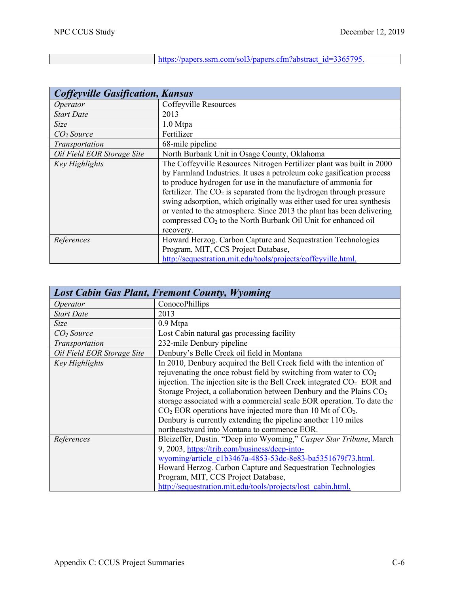$\overline{\phantom{a}}$ 

| https://papers.ssrn.com/sol3/papers.cfm?abstract_id=3365795. |  |
|--------------------------------------------------------------|--|
|                                                              |  |

| <b>Coffeyville Gasification, Kansas</b> |                                                                           |
|-----------------------------------------|---------------------------------------------------------------------------|
| Operator                                | Coffeyville Resources                                                     |
| <b>Start Date</b>                       | 2013                                                                      |
| Size                                    | $1.0$ Mtpa                                                                |
| CO <sub>2</sub> Source                  | Fertilizer                                                                |
| Transportation                          | 68-mile pipeline                                                          |
| Oil Field EOR Storage Site              | North Burbank Unit in Osage County, Oklahoma                              |
| Key Highlights                          | The Coffeyville Resources Nitrogen Fertilizer plant was built in 2000     |
|                                         | by Farmland Industries. It uses a petroleum coke gasification process     |
|                                         | to produce hydrogen for use in the manufacture of ammonia for             |
|                                         | fertilizer. The $CO2$ is separated from the hydrogen through pressure     |
|                                         | swing adsorption, which originally was either used for urea synthesis     |
|                                         | or vented to the atmosphere. Since 2013 the plant has been delivering     |
|                                         | compressed CO <sub>2</sub> to the North Burbank Oil Unit for enhanced oil |
|                                         | recovery.                                                                 |
| References                              | Howard Herzog. Carbon Capture and Sequestration Technologies              |
|                                         | Program, MIT, CCS Project Database,                                       |
|                                         | http://sequestration.mit.edu/tools/projects/coffeyville.html.             |

|                            | <b>Lost Cabin Gas Plant, Fremont County, Wyoming</b>                               |
|----------------------------|------------------------------------------------------------------------------------|
| Operator                   | ConocoPhillips                                                                     |
| <b>Start Date</b>          | 2013                                                                               |
| Size                       | 0.9 Mtpa                                                                           |
| CO <sub>2</sub> Source     | Lost Cabin natural gas processing facility                                         |
| Transportation             | 232-mile Denbury pipeline                                                          |
| Oil Field EOR Storage Site | Denbury's Belle Creek oil field in Montana                                         |
| Key Highlights             | In 2010, Denbury acquired the Bell Creek field with the intention of               |
|                            | rejuvenating the once robust field by switching from water to $CO2$                |
|                            | injection. The injection site is the Bell Creek integrated CO <sub>2</sub> EOR and |
|                            | Storage Project, a collaboration between Denbury and the Plains CO <sub>2</sub>    |
|                            | storage associated with a commercial scale EOR operation. To date the              |
|                            | $CO2 EOR$ operations have injected more than 10 Mt of $CO2$ .                      |
|                            | Denbury is currently extending the pipeline another 110 miles                      |
|                            | northeastward into Montana to commence EOR.                                        |
| References                 | Bleizeffer, Dustin. "Deep into Wyoming," Casper Star Tribune, March                |
|                            | 9, 2003, https://trib.com/business/deep-into-                                      |
|                            | wyoming/article c1b3467a-4853-53dc-8e83-ba5351679f73.html.                         |
|                            | Howard Herzog. Carbon Capture and Sequestration Technologies                       |
|                            | Program, MIT, CCS Project Database,                                                |
|                            | http://sequestration.mit.edu/tools/projects/lost_cabin.html.                       |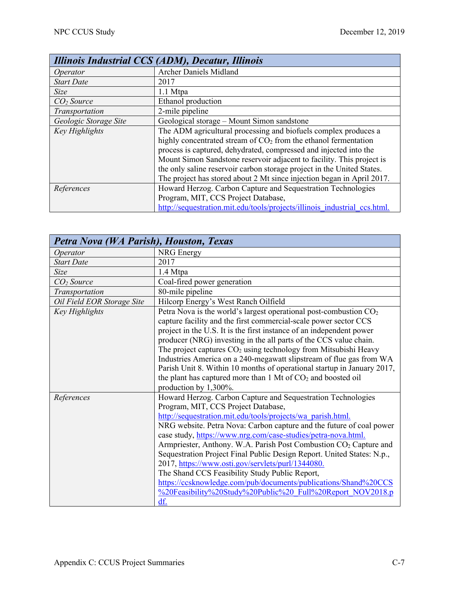|                        | <b>Illinois Industrial CCS (ADM), Decatur, Illinois</b>                                                                              |
|------------------------|--------------------------------------------------------------------------------------------------------------------------------------|
| Operator               | <b>Archer Daniels Midland</b>                                                                                                        |
| <b>Start Date</b>      | 2017                                                                                                                                 |
| <b>Size</b>            | 1.1 Mtpa                                                                                                                             |
| CO <sub>2</sub> Source | Ethanol production                                                                                                                   |
| Transportation         | 2-mile pipeline                                                                                                                      |
| Geologic Storage Site  | Geological storage - Mount Simon sandstone                                                                                           |
| <b>Key Highlights</b>  | The ADM agricultural processing and biofuels complex produces a<br>highly concentrated stream of $CO2$ from the ethanol fermentation |
|                        | process is captured, dehydrated, compressed and injected into the                                                                    |
|                        | Mount Simon Sandstone reservoir adjacent to facility. This project is                                                                |
|                        | the only saline reservoir carbon storage project in the United States.                                                               |
|                        | The project has stored about 2 Mt since injection began in April 2017.                                                               |
| References             | Howard Herzog. Carbon Capture and Sequestration Technologies                                                                         |
|                        | Program, MIT, CCS Project Database,                                                                                                  |
|                        | http://sequestration.mit.edu/tools/projects/illinois industrial ccs.html.                                                            |

| Petra Nova (WA Parish), Houston, Texas |                                                                               |
|----------------------------------------|-------------------------------------------------------------------------------|
| Operator                               | <b>NRG</b> Energy                                                             |
| <b>Start Date</b>                      | 2017                                                                          |
| <b>Size</b>                            | 1.4 Mtpa                                                                      |
| CO <sub>2</sub> Source                 | Coal-fired power generation                                                   |
| Transportation                         | 80-mile pipeline                                                              |
| Oil Field EOR Storage Site             | Hilcorp Energy's West Ranch Oilfield                                          |
| Key Highlights                         | Petra Nova is the world's largest operational post-combustion $CO2$           |
|                                        | capture facility and the first commercial-scale power sector CCS              |
|                                        | project in the U.S. It is the first instance of an independent power          |
|                                        | producer (NRG) investing in the all parts of the CCS value chain.             |
|                                        | The project captures $CO2$ using technology from Mitsubishi Heavy             |
|                                        | Industries America on a 240-megawatt slipstream of flue gas from WA           |
|                                        | Parish Unit 8. Within 10 months of operational startup in January 2017,       |
|                                        | the plant has captured more than $1 \text{ Mt of } CO_2$ and boosted oil      |
|                                        | production by 1,300%.                                                         |
| References                             | Howard Herzog. Carbon Capture and Sequestration Technologies                  |
|                                        | Program, MIT, CCS Project Database,                                           |
|                                        | http://sequestration.mit.edu/tools/projects/wa_parish.html.                   |
|                                        | NRG website. Petra Nova: Carbon capture and the future of coal power          |
|                                        | case study, https://www.nrg.com/case-studies/petra-nova.html.                 |
|                                        | Armpriester, Anthony. W.A. Parish Post Combustion CO <sub>2</sub> Capture and |
|                                        | Sequestration Project Final Public Design Report. United States: N.p.,        |
|                                        | 2017, https://www.osti.gov/servlets/purl/1344080.                             |
|                                        | The Shand CCS Feasibility Study Public Report,                                |
|                                        | https://ccsknowledge.com/pub/documents/publications/Shand%20CCS               |
|                                        | %20Feasibility%20Study%20Public%20 Full%20Report NOV2018.p                    |
|                                        | df.                                                                           |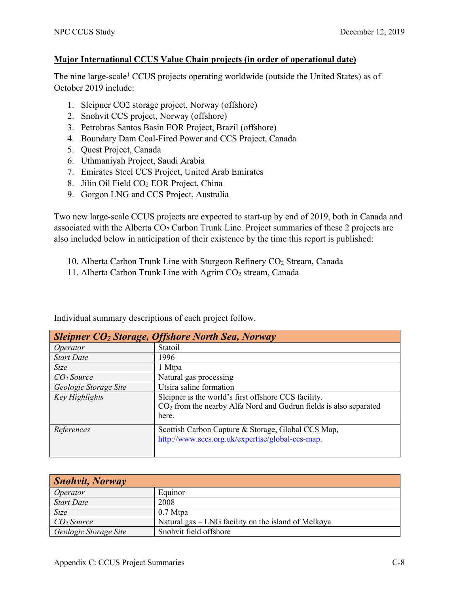### **Major International CCUS Value Chain projects (in order of operational date)**

The nine large-scale<sup>1</sup> CCUS projects operating worldwide (outside the United States) as of October 2019 include:

- 1. Sleipner CO2 storage project, Norway (offshore)
- 2. Snøhvit CCS project, Norway (offshore)
- 3. Petrobras Santos Basin EOR Project, Brazil (offshore)
- 4. Boundary Dam Coal-Fired Power and CCS Project, Canada
- 5. Quest Project, Canada
- 6. Uthmaniyah Project, Saudi Arabia
- 7. Emirates Steel CCS Project, United Arab Emirates
- 8. Jilin Oil Field CO2 EOR Project, China
- 9. Gorgon LNG and CCS Project, Australia

Two new large-scale CCUS projects are expected to start-up by end of 2019, both in Canada and associated with the Alberta  $CO<sub>2</sub>$  Carbon Trunk Line. Project summaries of these 2 projects are also included below in anticipation of their existence by the time this report is published:

- 10. Alberta Carbon Trunk Line with Sturgeon Refinery CO<sub>2</sub> Stream, Canada
- 11. Alberta Carbon Trunk Line with Agrim CO<sub>2</sub> stream, Canada

| Sleipner CO <sub>2</sub> Storage, Offshore North Sea, Norway |                                                                     |  |
|--------------------------------------------------------------|---------------------------------------------------------------------|--|
| Operator                                                     | Statoil                                                             |  |
| <b>Start Date</b>                                            | 1996                                                                |  |
| <b>Size</b>                                                  | 1 Mtpa                                                              |  |
| CO <sub>2</sub> Source                                       | Natural gas processing                                              |  |
| Geologic Storage Site                                        | Utsira saline formation                                             |  |
| Key Highlights                                               | Sleipner is the world's first offshore CCS facility.                |  |
|                                                              | $CO2$ from the nearby Alfa Nord and Gudrun fields is also separated |  |
|                                                              | here.                                                               |  |
| References                                                   | Scottish Carbon Capture & Storage, Global CCS Map,                  |  |
|                                                              | http://www.sccs.org.uk/expertise/global-ccs-map.                    |  |
|                                                              |                                                                     |  |

Individual summary descriptions of each project follow.

| <b>Snøhvit, Norway</b> |                                                     |
|------------------------|-----------------------------------------------------|
| Operator               | Equinor                                             |
| <b>Start Date</b>      | 2008                                                |
| <b>Size</b>            | $0.7$ Mtpa                                          |
| CO <sub>2</sub> Source | Natural gas – LNG facility on the island of Melkøya |
| Geologic Storage Site  | Snøhvit field offshore                              |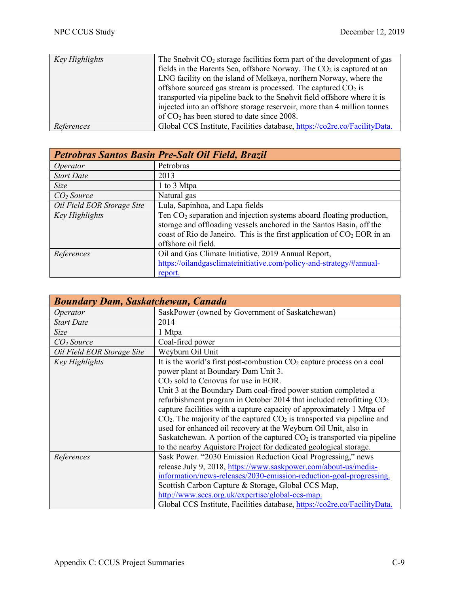| Key Highlights | The Snøhvit $CO2$ storage facilities form part of the development of gas  |
|----------------|---------------------------------------------------------------------------|
|                | fields in the Barents Sea, offshore Norway. The $CO2$ is captured at an   |
|                | LNG facility on the island of Melkøya, northern Norway, where the         |
|                | offshore sourced gas stream is processed. The captured $CO2$ is           |
|                | transported via pipeline back to the Snøhvit field offshore where it is   |
|                | injected into an offshore storage reservoir, more than 4 million tonnes   |
|                | of $CO2$ has been stored to date since 2008.                              |
| References     | Global CCS Institute, Facilities database, https://co2re.co/FacilityData. |

| Petrobras Santos Basin Pre-Salt Oil Field, Brazil |                                                                                                                                                                                                                                                    |
|---------------------------------------------------|----------------------------------------------------------------------------------------------------------------------------------------------------------------------------------------------------------------------------------------------------|
| Operator                                          | Petrobras                                                                                                                                                                                                                                          |
| <b>Start Date</b>                                 | 2013                                                                                                                                                                                                                                               |
| Size                                              | 1 to 3 Mtpa                                                                                                                                                                                                                                        |
| CO <sub>2</sub> Source                            | Natural gas                                                                                                                                                                                                                                        |
| Oil Field EOR Storage Site                        | Lula, Sapinhoa, and Lapa fields                                                                                                                                                                                                                    |
| Key Highlights                                    | Ten $CO2$ separation and injection systems aboard floating production,<br>storage and offloading vessels anchored in the Santos Basin, off the<br>coast of Rio de Janeiro. This is the first application of $CO2 EOR$ in an<br>offshore oil field. |
| References                                        | Oil and Gas Climate Initiative, 2019 Annual Report,<br>https://oilandgasclimateinitiative.com/policy-and-strategy/#annual-<br>report.                                                                                                              |

| <b>Boundary Dam, Saskatchewan, Canada</b> |                                                                            |
|-------------------------------------------|----------------------------------------------------------------------------|
| Operator                                  | SaskPower (owned by Government of Saskatchewan)                            |
| <b>Start Date</b>                         | 2014                                                                       |
| <b>Size</b>                               | 1 Mtpa                                                                     |
| CO <sub>2</sub> Source                    | Coal-fired power                                                           |
| Oil Field EOR Storage Site                | Weyburn Oil Unit                                                           |
| Key Highlights                            | It is the world's first post-combustion $CO2$ capture process on a coal    |
|                                           | power plant at Boundary Dam Unit 3.                                        |
|                                           | $CO2$ sold to Cenovus for use in EOR.                                      |
|                                           | Unit 3 at the Boundary Dam coal-fired power station completed a            |
|                                           | refurbishment program in October 2014 that included retrofitting $CO2$     |
|                                           | capture facilities with a capture capacity of approximately 1 Mtpa of      |
|                                           | $CO2$ . The majority of the captured $CO2$ is transported via pipeline and |
|                                           | used for enhanced oil recovery at the Weyburn Oil Unit, also in            |
|                                           | Saskatchewan. A portion of the captured $CO2$ is transported via pipeline  |
|                                           | to the nearby Aquistore Project for dedicated geological storage.          |
| References                                | Sask Power. "2030 Emission Reduction Goal Progressing," news               |
|                                           | release July 9, 2018, https://www.saskpower.com/about-us/media-            |
|                                           | information/news-releases/2030-emission-reduction-goal-progressing.        |
|                                           | Scottish Carbon Capture & Storage, Global CCS Map,                         |
|                                           | http://www.sccs.org.uk/expertise/global-ccs-map.                           |
|                                           | Global CCS Institute, Facilities database, https://co2re.co/FacilityData.  |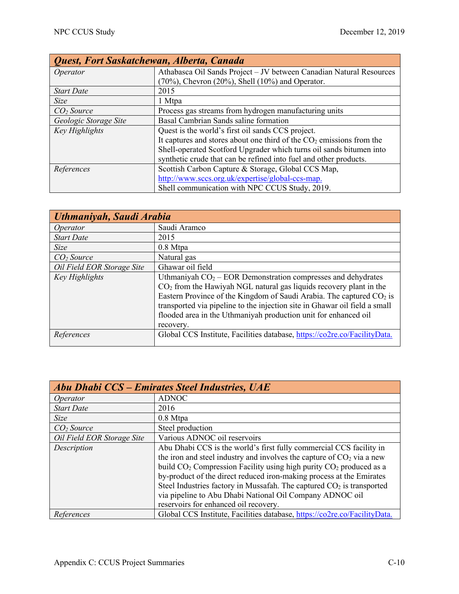| Quest, Fort Saskatchewan, Alberta, Canada |                                                                        |
|-------------------------------------------|------------------------------------------------------------------------|
| Operator                                  | Athabasca Oil Sands Project - JV between Canadian Natural Resources    |
|                                           | $(70\%)$ , Chevron $(20\%)$ , Shell $(10\%)$ and Operator.             |
| <b>Start Date</b>                         | 2015                                                                   |
| <b>Size</b>                               | 1 Mtpa                                                                 |
| CO <sub>2</sub> Source                    | Process gas streams from hydrogen manufacturing units                  |
| Geologic Storage Site                     | Basal Cambrian Sands saline formation                                  |
| Key Highlights                            | Quest is the world's first oil sands CCS project.                      |
|                                           | It captures and stores about one third of the $CO2$ emissions from the |
|                                           | Shell-operated Scotford Upgrader which turns oil sands bitumen into    |
|                                           | synthetic crude that can be refined into fuel and other products.      |
| References                                | Scottish Carbon Capture & Storage, Global CCS Map,                     |
|                                           | http://www.sccs.org.uk/expertise/global-ccs-map.                       |
|                                           | Shell communication with NPC CCUS Study, 2019.                         |

| Uthmaniyah, Saudi Arabia   |                                                                                                                                                                                                                                                                                                                                                                                          |
|----------------------------|------------------------------------------------------------------------------------------------------------------------------------------------------------------------------------------------------------------------------------------------------------------------------------------------------------------------------------------------------------------------------------------|
| Operator                   | Saudi Aramco                                                                                                                                                                                                                                                                                                                                                                             |
| <b>Start Date</b>          | 2015                                                                                                                                                                                                                                                                                                                                                                                     |
| <b>Size</b>                | 0.8 Mtpa                                                                                                                                                                                                                                                                                                                                                                                 |
| CO <sub>2</sub> Source     | Natural gas                                                                                                                                                                                                                                                                                                                                                                              |
| Oil Field EOR Storage Site | Ghawar oil field                                                                                                                                                                                                                                                                                                                                                                         |
| Key Highlights             | Uthmaniyah $CO2 - EOR$ Demonstration compresses and dehydrates<br>$CO2$ from the Hawiyah NGL natural gas liquids recovery plant in the<br>Eastern Province of the Kingdom of Saudi Arabia. The captured CO <sub>2</sub> is<br>transported via pipeline to the injection site in Ghawar oil field a small<br>flooded area in the Uthmaniyah production unit for enhanced oil<br>recovery. |
| References                 | Global CCS Institute, Facilities database, https://co2re.co/FacilityData.                                                                                                                                                                                                                                                                                                                |

| Abu Dhabi CCS - Emirates Steel Industries, UAE |                                                                                            |
|------------------------------------------------|--------------------------------------------------------------------------------------------|
| Operator                                       | <b>ADNOC</b>                                                                               |
| <b>Start Date</b>                              | 2016                                                                                       |
| Size                                           | $0.8$ Mtpa                                                                                 |
| CO <sub>2</sub> Source                         | Steel production                                                                           |
| Oil Field EOR Storage Site                     | Various ADNOC oil reservoirs                                                               |
| Description                                    | Abu Dhabi CCS is the world's first fully commercial CCS facility in                        |
|                                                | the iron and steel industry and involves the capture of $CO2$ via a new                    |
|                                                | build CO <sub>2</sub> Compression Facility using high purity CO <sub>2</sub> produced as a |
|                                                | by-product of the direct reduced iron-making process at the Emirates                       |
|                                                | Steel Industries factory in Mussafah. The captured CO <sub>2</sub> is transported          |
|                                                | via pipeline to Abu Dhabi National Oil Company ADNOC oil                                   |
|                                                | reservoirs for enhanced oil recovery.                                                      |
| References                                     | Global CCS Institute, Facilities database, https://co2re.co/FacilityData.                  |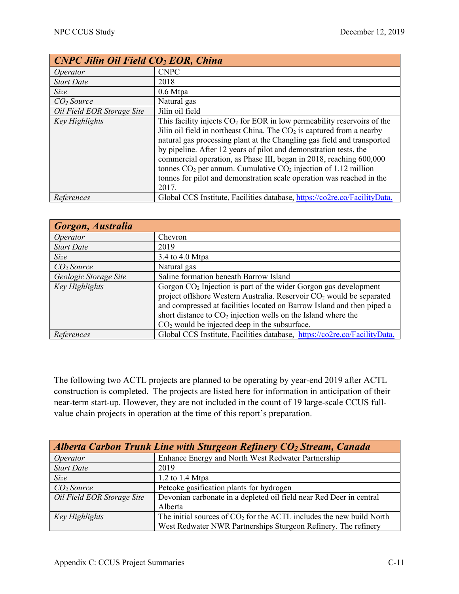| <b>CNPC Jilin Oil Field CO<sub>2</sub> EOR, China</b> |                                                                                                                                                                                                                                                                                                                                                                                                                                                                                                                                     |
|-------------------------------------------------------|-------------------------------------------------------------------------------------------------------------------------------------------------------------------------------------------------------------------------------------------------------------------------------------------------------------------------------------------------------------------------------------------------------------------------------------------------------------------------------------------------------------------------------------|
| Operator                                              | <b>CNPC</b>                                                                                                                                                                                                                                                                                                                                                                                                                                                                                                                         |
| <b>Start Date</b>                                     | 2018                                                                                                                                                                                                                                                                                                                                                                                                                                                                                                                                |
| <b>Size</b>                                           | $0.6$ Mtpa                                                                                                                                                                                                                                                                                                                                                                                                                                                                                                                          |
| CO <sub>2</sub> Source                                | Natural gas                                                                                                                                                                                                                                                                                                                                                                                                                                                                                                                         |
| Oil Field EOR Storage Site                            | Jilin oil field                                                                                                                                                                                                                                                                                                                                                                                                                                                                                                                     |
| Key Highlights                                        | This facility injects $CO2$ for EOR in low permeability reservoirs of the<br>Jilin oil field in northeast China. The $CO2$ is captured from a nearby<br>natural gas processing plant at the Changling gas field and transported<br>by pipeline. After 12 years of pilot and demonstration tests, the<br>commercial operation, as Phase III, began in 2018, reaching 600,000<br>tonnes $CO2$ per annum. Cumulative $CO2$ injection of 1.12 million<br>tonnes for pilot and demonstration scale operation was reached in the<br>2017. |
| References                                            | Global CCS Institute, Facilities database, https://co2re.co/FacilityData.                                                                                                                                                                                                                                                                                                                                                                                                                                                           |

| Gorgon, Australia      |                                                                                  |
|------------------------|----------------------------------------------------------------------------------|
| <i>Operator</i>        | Chevron                                                                          |
| <b>Start Date</b>      | 2019                                                                             |
| Size                   | 3.4 to 4.0 Mtpa                                                                  |
| CO <sub>2</sub> Source | Natural gas                                                                      |
| Geologic Storage Site  | Saline formation beneath Barrow Island                                           |
| Key Highlights         | Gorgon $CO2$ Injection is part of the wider Gorgon gas development               |
|                        | project offshore Western Australia. Reservoir CO <sub>2</sub> would be separated |
|                        | and compressed at facilities located on Barrow Island and then piped a           |
|                        | short distance to $CO2$ injection wells on the Island where the                  |
|                        | $CO2$ would be injected deep in the subsurface.                                  |
| References             | Global CCS Institute, Facilities database, https://co2re.co/FacilityData.        |

The following two ACTL projects are planned to be operating by year-end 2019 after ACTL construction is completed. The projects are listed here for information in anticipation of their near-term start-up. However, they are not included in the count of 19 large-scale CCUS fullvalue chain projects in operation at the time of this report's preparation.

| Alberta Carbon Trunk Line with Sturgeon Refinery $CO2$ Stream, Canada |                                                                        |
|-----------------------------------------------------------------------|------------------------------------------------------------------------|
| Operator                                                              | Enhance Energy and North West Redwater Partnership                     |
| <b>Start Date</b>                                                     | 2019                                                                   |
| Size                                                                  | 1.2 to 1.4 Mtpa                                                        |
| CO <sub>2</sub> Source                                                | Petcoke gasification plants for hydrogen                               |
| Oil Field EOR Storage Site                                            | Devonian carbonate in a depleted oil field near Red Deer in central    |
|                                                                       | Alberta                                                                |
| Key Highlights                                                        | The initial sources of $CO2$ for the ACTL includes the new build North |
|                                                                       | West Redwater NWR Partnerships Sturgeon Refinery. The refinery         |